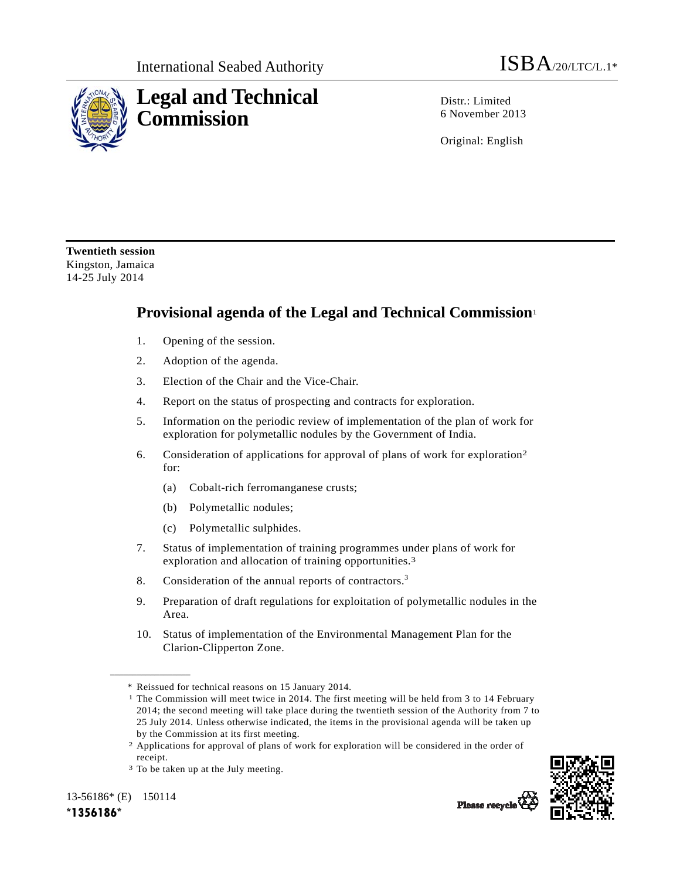



Distr · Limited 6 November 2013

Original: English

**Twentieth session**  Kingston, Jamaica 14-25 July 2014

## **Provisional agenda of the Legal and Technical Commission**<sup>1</sup>

- 1. Opening of the session.
- 2. Adoption of the agenda.
- 3. Election of the Chair and the Vice-Chair.
- 4. Report on the status of prospecting and contracts for exploration.
- 5. Information on the periodic review of implementation of the plan of work for exploration for polymetallic nodules by the Government of India.
- 6. Consideration of applications for approval of plans of work for exploration2 for:
	- (a) Cobalt-rich ferromanganese crusts;
	- (b) Polymetallic nodules;
	- (c) Polymetallic sulphides.
- 7. Status of implementation of training programmes under plans of work for exploration and allocation of training opportunities.3
- 8. Consideration of the annual reports of contractors.<sup>3</sup>
- 9. Preparation of draft regulations for exploitation of polymetallic nodules in the Area.
- 10. Status of implementation of the Environmental Management Plan for the Clarion-Clipperton Zone.

13-56186\* (E) 150114

**\_\_\_\_\_\_\_\_\_\_\_\_\_\_\_\_\_\_** 



Please recycle

<sup>\*</sup> Reissued for technical reasons on 15 January 2014.<br><sup>1</sup> The Commission will meet twice in 2014. The first meeting will be held from 3 to 14 February 2014; the second meeting will take place during the twentieth session of the Authority from 7 to 25 July 2014. Unless otherwise indicated, the items in the provisional agenda will be taken up by the Commission at its first meeting.

<sup>2</sup> Applications for approval of plans of work for exploration will be considered in the order of receipt.

<sup>&</sup>lt;sup>3</sup> To be taken up at the July meeting.